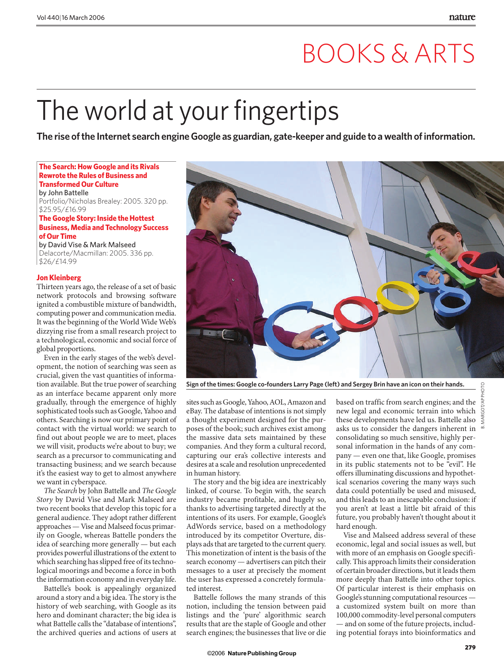## BOOKS & ARTS

# The world at your fingertips

**The rise of the Internet search engineGoogle as guardian, gate-keeper and guide to a wealth of information.**

#### **The Search: How Google and its Rivals Rewrote the Rules of Business and Transformed Our Culture**

by John Battelle Portfolio/Nicholas Brealey: 2005. 320 pp. \$25.95/£16.99

#### **The Google Story: Inside the Hottest Business, Media and Technology Success of Our Time**

by David Vise & Mark Malseed Delacorte/Macmillan: 2005. 336 pp. \$26/£14.99

#### **Jon Kleinberg**

Thirteen years ago, the release of a set of basic network protocols and browsing software ignited a combustible mixture of bandwidth, computing power and communication media. It was the beginning of the World Wide Web's dizzying rise from a small research project to a technological, economic and social force of global proportions.

Even in the early stages of the web's development, the notion of searching was seen as crucial, given the vast quantities of information available. But the true power of searching as an interface became apparent only more gradually, through the emergence of highly sophisticated tools such as Google, Yahoo and others. Searching is now our primary point of contact with the virtual world: we search to find out about people we are to meet, places we will visit, products we're about to buy; we search as a precursor to communicating and transacting business; and we search because it's the easiest way to get to almost anywhere we want in cyberspace.

*The Search* by John Battelle and *The Google Story* by David Vise and Mark Malseed are two recent books that develop this topic for a general audience. They adopt rather different approaches — Vise and Malseed focus primarily on Google, whereas Battelle ponders the idea of searching more generally — but each provides powerful illustrations of the extent to which searching has slipped free of its technological moorings and become a force in both the information economy and in everyday life.

Battelle's book is appealingly organized around a story and a big idea. The story is the history of web searching, with Google as its hero and dominant character; the big idea is what Battelle calls the "database of intentions", the archived queries and actions of users at



**Sign of the times: Google co-founders Larry Page (left) and Sergey Brin have an icon on their hands.**

sites such as Google, Yahoo, AOL, Amazon and eBay. The database of intentions is not simply a thought experiment designed for the purposes of the book; such archives exist among the massive data sets maintained by these companies. And they form a cultural record, capturing our era's collective interests and desires at a scale and resolution unprecedented in human history.

The story and the big idea are inextricably linked, of course. To begin with, the search industry became profitable, and hugely so, thanks to advertising targeted directly at the intentions of its users. For example, Google's AdWords service, based on a methodology introduced by its competitor Overture, displays ads that are targeted to the current query. This monetization of intent is the basis of the search economy — advertisers can pitch their messages to a user at precisely the moment the user has expressed a concretely formulated interest.

Battelle follows the many strands of this notion, including the tension between paid listings and the 'pure' algorithmic search results that are the staple of Google and other search engines; the businesses that live or die

based on traffic from search engines; and the new legal and economic terrain into which these developments have led us. Battelle also asks us to consider the dangers inherent in consolidating so much sensitive, highly personal information in the hands of any company — even one that, like Google, promises in its public statements not to be "evil". He offers illuminating discussions and hypothetical scenarios covering the many ways such data could potentially be used and misused, and this leads to an inescapable conclusion: if you aren't at least a little bit afraid of this future, you probably haven't thought about it hard enough.

Vise and Malseed address several of these economic, legal and social issues as well, but with more of an emphasis on Google specifically. This approach limits their consideration of certain broader directions, but it leads them more deeply than Battelle into other topics. Of particular interest is their emphasis on Google's stunning computational resources a customized system built on more than 100,000 commodity-level personal computers — and on some of the future projects, including potential forays into bioinformatics and

B. MARGOT/AP PHOTO